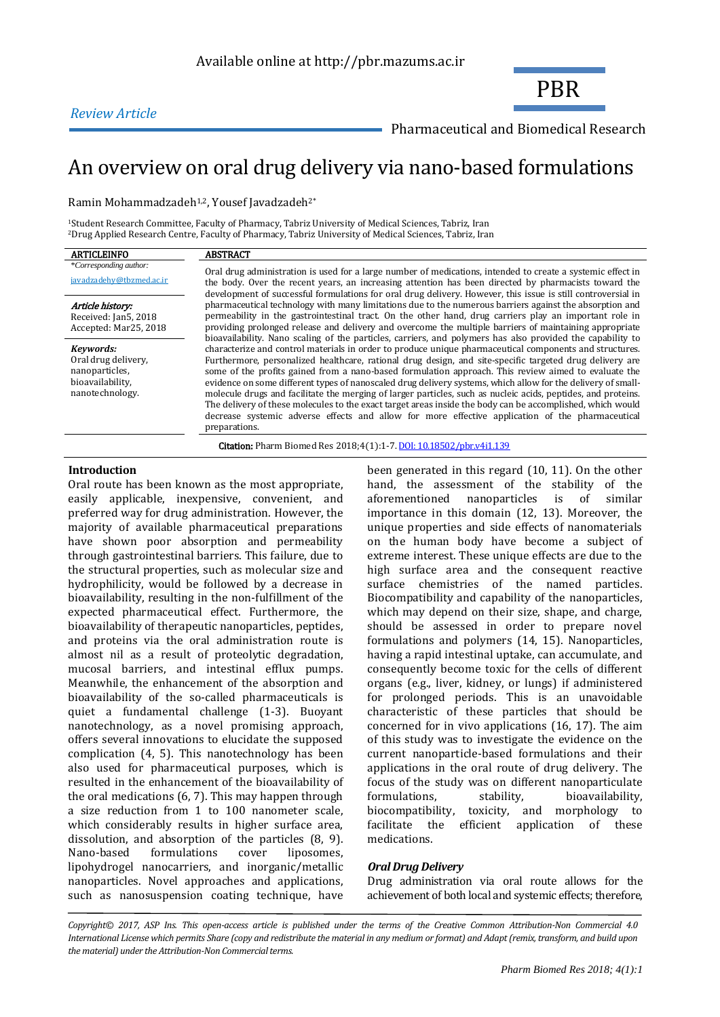



Pharmaceutical and Biomedical Research

# An overview on oral drug delivery via nano-based formulations

Ramin Mohammadzadeh<sup>1,2</sup>, Yousef Javadzadeh<sup>2\*</sup>

<sup>1</sup>Student Research Committee, Faculty of Pharmacy, Tabriz University of Medical Sciences, Tabriz, Iran <sup>2</sup>Drug Applied Research Centre, Faculty of Pharmacy, Tabriz University of Medical Sciences, Tabriz, Iran

| <b>ARTICLEINFO</b>                                                                        | <b>ABSTRACT</b>                                                                                                                                                                                                                                                                                                                                                                                                                                                                                                                                                                                                                                                                                                                                                                                 |  |
|-------------------------------------------------------------------------------------------|-------------------------------------------------------------------------------------------------------------------------------------------------------------------------------------------------------------------------------------------------------------------------------------------------------------------------------------------------------------------------------------------------------------------------------------------------------------------------------------------------------------------------------------------------------------------------------------------------------------------------------------------------------------------------------------------------------------------------------------------------------------------------------------------------|--|
| *Corresponding author:<br>javadzadehy@tbzmed.ac.ir                                        | Oral drug administration is used for a large number of medications, intended to create a systemic effect in<br>the body. Over the recent years, an increasing attention has been directed by pharmacists toward the<br>development of successful formulations for oral drug delivery. However, this issue is still controversial in                                                                                                                                                                                                                                                                                                                                                                                                                                                             |  |
| Article history:<br>Received: Jan5, 2018<br>Accepted: Mar25, 2018                         | pharmaceutical technology with many limitations due to the numerous barriers against the absorption and<br>permeability in the gastrointestinal tract. On the other hand, drug carriers play an important role in<br>providing prolonged release and delivery and overcome the multiple barriers of maintaining appropriate<br>bioavailability. Nano scaling of the particles, carriers, and polymers has also provided the capability to                                                                                                                                                                                                                                                                                                                                                       |  |
| Kevwords:<br>Oral drug delivery,<br>nanoparticles.<br>bioavailability.<br>nanotechnology. | characterize and control materials in order to produce unique pharmaceutical components and structures.<br>Furthermore, personalized healthcare, rational drug design, and site-specific targeted drug delivery are<br>some of the profits gained from a nano-based formulation approach. This review aimed to evaluate the<br>evidence on some different types of nanoscaled drug delivery systems, which allow for the delivery of small-<br>molecule drugs and facilitate the merging of larger particles, such as nucleic acids, peptides, and proteins.<br>The delivery of these molecules to the exact target areas inside the body can be accomplished, which would<br>decrease systemic adverse effects and allow for more effective application of the pharmaceutical<br>preparations. |  |
|                                                                                           | <b>Citation:</b> Pharm Biomed Res 2018;4(1):1-7. <b>DOI:</b> 10.18502/pbr.v4i1.139                                                                                                                                                                                                                                                                                                                                                                                                                                                                                                                                                                                                                                                                                                              |  |

# **Introduction**

Oral route has been known as the most appropriate, easily applicable, inexpensive, convenient, and preferred way for drug administration. However, the majority of available pharmaceutical preparations have shown poor absorption and permeability through gastrointestinal barriers. This failure, due to the structural properties, such as molecular size and hydrophilicity, would be followed by a decrease in bioavailability, resulting in the non-fulfillment of the expected pharmaceutical effect. Furthermore, the bioavailability of therapeutic nanoparticles, peptides, and proteins via the oral administration route is almost nil as a result of proteolytic degradation, mucosal barriers, and intestinal efflux pumps. Meanwhile, the enhancement of the absorption and bioavailability of the so-called pharmaceuticals is quiet a fundamental challenge (1-3). Buoyant nanotechnology, as a novel promising approach, offers several innovations to elucidate the supposed complication (4, 5). This nanotechnology has been also used for pharmaceutical purposes, which is resulted in the enhancement of the bioavailability of the oral medications (6, 7). This may happen through a size reduction from 1 to 100 nanometer scale, which considerably results in higher surface area, dissolution, and absorption of the particles (8, 9). Nano-based formulations cover liposomes, lipohydrogel nanocarriers, and inorganic/metallic nanoparticles. Novel approaches and applications, such as nanosuspension coating technique, have been generated in this regard (10, 11). On the other hand, the assessment of the stability of the aforementioned nanoparticles is of similar importance in this domain (12, 13). Moreover, the unique properties and side effects of nanomaterials on the human body have become a subject of extreme interest. These unique effects are due to the high surface area and the consequent reactive surface chemistries of the named particles. Biocompatibility and capability of the nanoparticles, which may depend on their size, shape, and charge, should be assessed in order to prepare novel formulations and polymers (14, 15). Nanoparticles, having a rapid intestinal uptake, can accumulate, and consequently become toxic for the cells of different organs (e.g., liver, kidney, or lungs) if administered for prolonged periods. This is an unavoidable characteristic of these particles that should be concerned for in vivo applications (16, 17). The aim of this study was to investigate the evidence on the current nanoparticle-based formulations and their applications in the oral route of drug delivery. The focus of the study was on different nanoparticulate formulations, stability, bioavailability, biocompatibility, toxicity, and morphology to facilitate the efficient application of these medications.

## *Oral Drug Delivery*

Drug administration via oral route allows for the achievement of both local and systemic effects; therefore,

*Copyright© 2017, ASP Ins. This open-access article is published under the terms of the Creative Common Attribution-Non Commercial 4.0 International License which permits Share (copy and redistribute the material in any medium or format) and Adapt (remix, transform, and build upon the material) under the Attribution-Non Commercial terms.*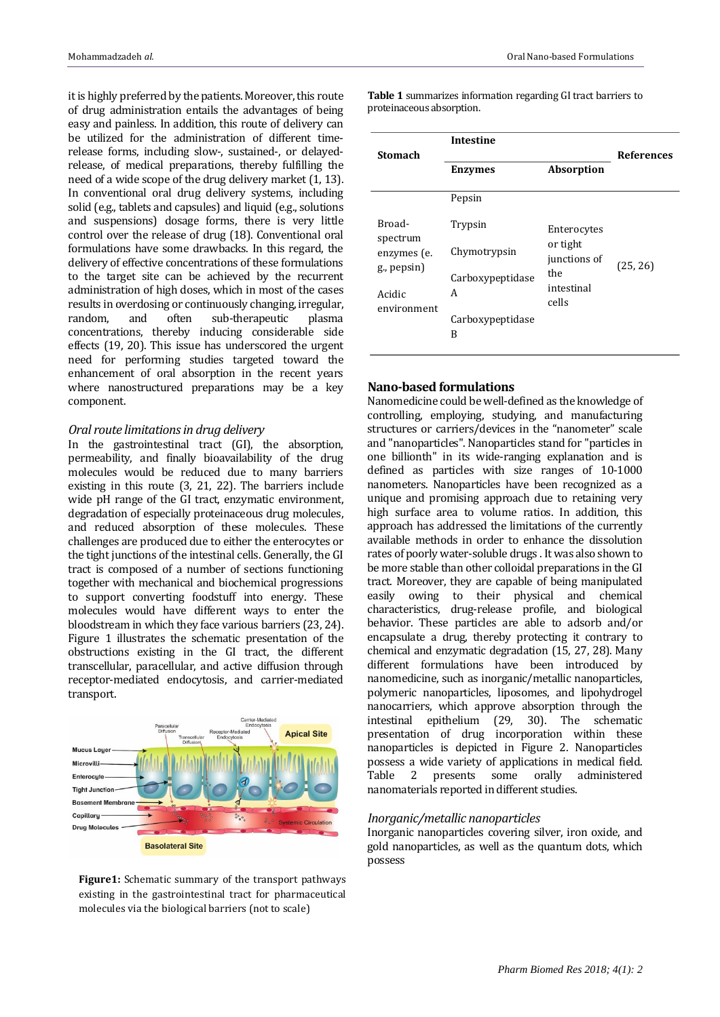it is highly preferred by the patients. Moreover, this route of drug administration entails the advantages of being easy and painless. In addition, this route of delivery can be utilized for the administration of different timerelease forms, including slow-, sustained-, or delayedrelease, of medical preparations, thereby fulfilling the need of a wide scope of the drug delivery market (1, 13). In conventional oral drug delivery systems, including solid (e.g., tablets and capsules) and liquid (e.g., solutions and suspensions) dosage forms, there is very little control over the release of drug (18). Conventional oral formulations have some drawbacks. In this regard, the delivery of effective concentrations of these formulations to the target site can be achieved by the recurrent administration of high doses, which in most of the cases results in overdosing or continuously changing, irregular, random, and often sub-therapeutic plasma concentrations, thereby inducing considerable side effects (19, 20). This issue has underscored the urgent need for performing studies targeted toward the enhancement of oral absorption in the recent years where nanostructured preparations may be a key component.

## *Oral route limitations in drug delivery*

In the gastrointestinal tract (GI), the absorption, permeability, and finally bioavailability of the drug molecules would be reduced due to many barriers existing in this route (3, 21, 22). The barriers include wide pH range of the GI tract, enzymatic environment, degradation of especially proteinaceous drug molecules, and reduced absorption of these molecules. These challenges are produced due to either the enterocytes or the tight junctions of the intestinal cells. Generally, the GI tract is composed of a number of sections functioning together with mechanical and biochemical progressions to support converting foodstuff into energy. These molecules would have different ways to enter the bloodstream in which they face various barriers (23, 24). Figure 1 illustrates the schematic presentation of the obstructions existing in the GI tract, the different transcellular, paracellular, and active diffusion through receptor-mediated endocytosis, and carrier-mediated transport.



**Figure1:** Schematic summary of the transport pathways existing in the gastrointestinal tract for pharmaceutical molecules via the biological barriers (not to scale)

**Stomach Intestine References Enzymes Absorption** Broadspectrum enzymes (e. g., pepsin) Acidic environment Pepsin Trypsin Chymotrypsin Carboxypeptidase A Carboxypeptidase B Enterocytes or tight junctions of the intestinal cells (25, 26)

#### **Table 1** summarizes information regarding GI tract barriers to proteinaceous absorption.

# **Nano-based formulations**

Nanomedicine could be well-defined as the knowledge of controlling, employing, studying, and manufacturing structures or carriers/devices in the "nanometer" scale and "nanoparticles". Nanoparticles stand for "particles in one billionth" in its wide-ranging explanation and is defined as particles with size ranges of 10-1000 nanometers. Nanoparticles have been recognized as a unique and promising approach due to retaining very high surface area to volume ratios. In addition, this approach has addressed the limitations of the currently available methods in order to enhance the dissolution rates of poorly water-soluble drugs . It was also shown to be more stable than other colloidal preparations in the GI tract. Moreover, they are capable of being manipulated easily owing to their physical and chemical characteristics, drug-release profile, and biological behavior. These particles are able to adsorb and/or encapsulate a drug, thereby protecting it contrary to chemical and enzymatic degradation (15, 27, 28). Many different formulations have been introduced by nanomedicine, such as inorganic/metallic nanoparticles, polymeric nanoparticles, liposomes, and lipohydrogel nanocarriers, which approve absorption through the intestinal epithelium (29, 30). The schematic presentation of drug incorporation within these nanoparticles is depicted in Figure 2. Nanoparticles possess a wide variety of applications in medical field. Table 2 presents some orally administered nanomaterials reported in different studies.

## *Inorganic/metallic nanoparticles*

Inorganic nanoparticles covering silver, iron oxide, and gold nanoparticles, as well as the quantum dots, which possess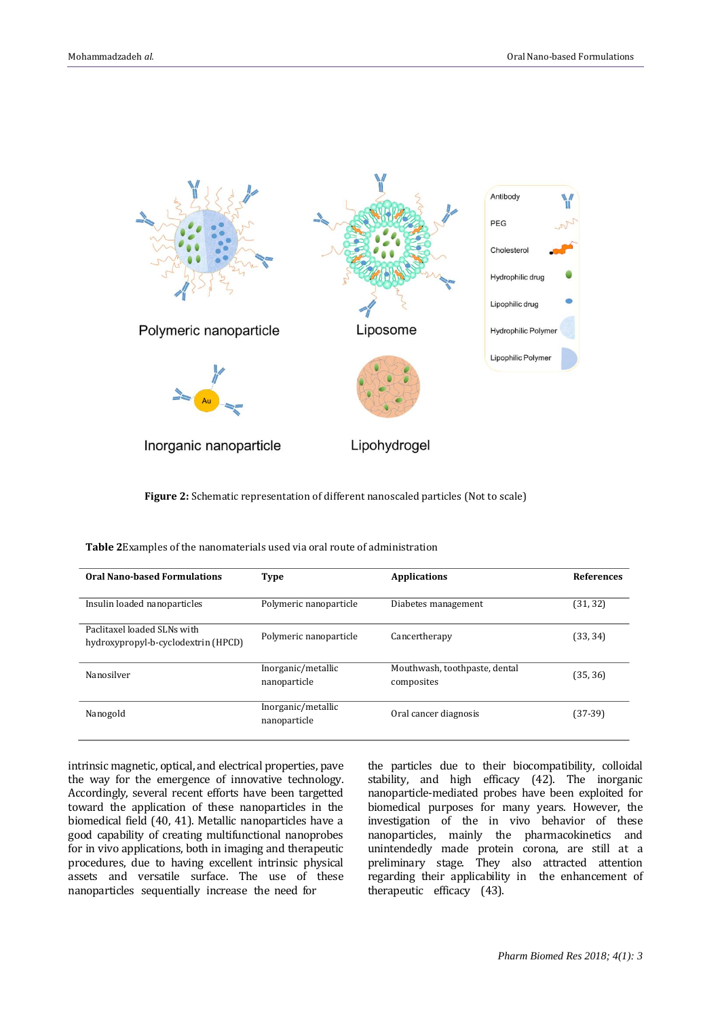

**Figure 2:** Schematic representation of different nanoscaled particles (Not to scale)

| <b>Oral Nano-based Formulations</b>                                | <b>Type</b>                        | <b>Applications</b>                         | <b>References</b> |
|--------------------------------------------------------------------|------------------------------------|---------------------------------------------|-------------------|
| Insulin loaded nanoparticles                                       | Polymeric nanoparticle             | Diabetes management                         | (31, 32)          |
| Paclitaxel loaded SLNs with<br>hydroxypropyl-b-cyclodextrin (HPCD) | Polymeric nanoparticle             | Cancertherapy                               | (33, 34)          |
| Nanosilver                                                         | Inorganic/metallic<br>nanoparticle | Mouthwash, toothpaste, dental<br>composites | (35, 36)          |
| Nanogold                                                           | Inorganic/metallic<br>nanoparticle | Oral cancer diagnosis                       | $(37-39)$         |

**Table 2**Examples of the nanomaterials used via oral route of administration

intrinsic magnetic, optical, and electrical properties, pave the way for the emergence of innovative technology. Accordingly, several recent efforts have been targetted toward the application of these nanoparticles in the biomedical field (40, 41). Metallic nanoparticles have a good capability of creating multifunctional nanoprobes for in vivo applications, both in imaging and therapeutic procedures, due to having excellent intrinsic physical assets and versatile surface. The use of these nanoparticles sequentially increase the need for

the particles due to their biocompatibility, colloidal stability, and high efficacy (42). The inorganic nanoparticle-mediated probes have been exploited for biomedical purposes for many years. However, the investigation of the in vivo behavior of these nanoparticles, mainly the pharmacokinetics and unintendedly made protein corona, are still at a preliminary stage. They also attracted attention regarding their applicability in the enhancement of therapeutic efficacy (43).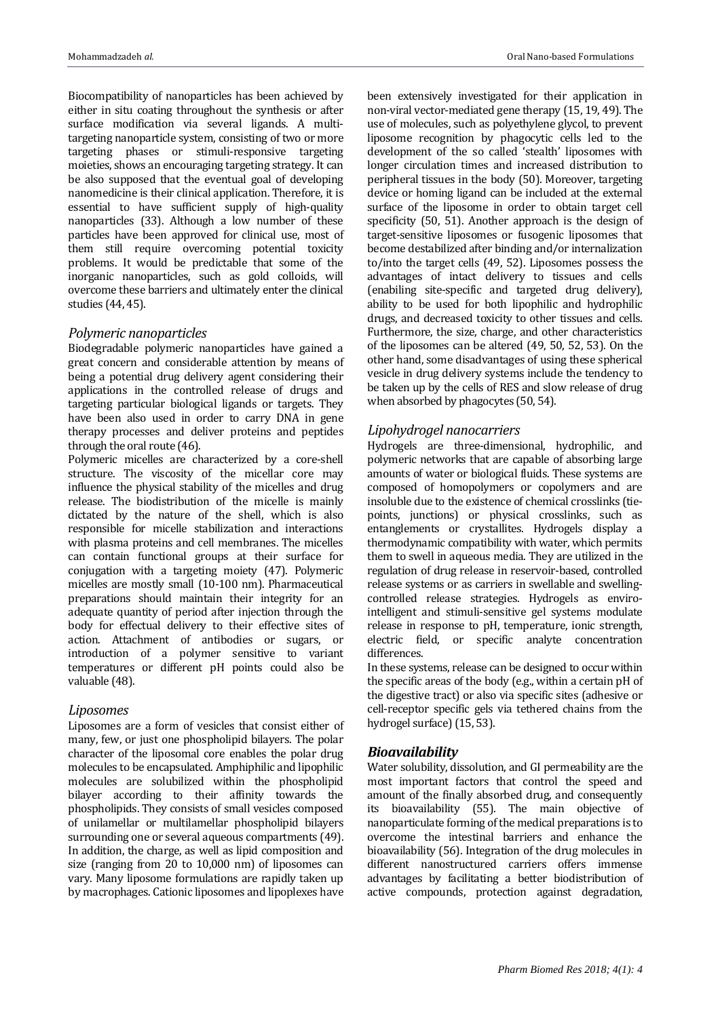Biocompatibility of nanoparticles has been achieved by either in situ coating throughout the synthesis or after surface modification via several ligands. A multitargeting nanoparticle system, consisting of two or more targeting phases or stimuli-responsive targeting moieties, shows an encouraging targeting strategy. It can be also supposed that the eventual goal of developing nanomedicine is their clinical application. Therefore, it is essential to have sufficient supply of high-quality nanoparticles (33). Although a low number of these particles have been approved for clinical use, most of them still require overcoming potential toxicity problems. It would be predictable that some of the inorganic nanoparticles, such as gold colloids, will overcome these barriers and ultimately enter the clinical studies (44, 45).

# *Polymeric nanoparticles*

Biodegradable polymeric nanoparticles have gained a great concern and considerable attention by means of being a potential drug delivery agent considering their applications in the controlled release of drugs and targeting particular biological ligands or targets. They have been also used in order to carry DNA in gene therapy processes and deliver proteins and peptides through the oral route (46).

Polymeric micelles are characterized by a core-shell structure. The viscosity of the micellar core may influence the physical stability of the micelles and drug release. The biodistribution of the micelle is mainly dictated by the nature of the shell, which is also responsible for micelle stabilization and interactions with plasma proteins and cell membranes. The micelles can contain functional groups at their surface for conjugation with a targeting moiety (47). Polymeric micelles are mostly small (10-100 nm). Pharmaceutical preparations should maintain their integrity for an adequate quantity of period after injection through the body for effectual delivery to their effective sites of action. Attachment of antibodies or sugars, or introduction of a polymer sensitive to variant temperatures or different pH points could also be valuable (48).

## *Liposomes*

Liposomes are a form of vesicles that consist either of many, few, or just one phospholipid bilayers. The polar character of the liposomal core enables the polar drug molecules to be encapsulated. Amphiphilic and lipophilic molecules are solubilized within the phospholipid bilayer according to their affinity towards the phospholipids. They consists of small vesicles composed of unilamellar or multilamellar phospholipid bilayers surrounding one or several aqueous compartments (49). In addition, the charge, as well as lipid composition and size (ranging from 20 to 10,000 nm) of liposomes can vary. Many liposome formulations are rapidly taken up by macrophages. Cationic liposomes and lipoplexes have

been extensively investigated for their application in non-viral vector-mediated gene therapy (15, 19, 49). The use of molecules, such as polyethylene glycol, to prevent liposome recognition by phagocytic cells led to the development of the so called 'stealth' liposomes with longer circulation times and increased distribution to peripheral tissues in the body (50). Moreover, targeting device or homing ligand can be included at the external surface of the liposome in order to obtain target cell specificity (50, 51). Another approach is the design of target-sensitive liposomes or fusogenic liposomes that become destabilized after binding and/or internalization to/into the target cells (49, 52). Liposomes possess the advantages of intact delivery to tissues and cells (enabiling site-specific and targeted drug delivery), ability to be used for both lipophilic and hydrophilic drugs, and decreased toxicity to other tissues and cells. Furthermore, the size, charge, and other characteristics of the liposomes can be altered (49, 50, 52, 53). On the other hand, some disadvantages of using these spherical vesicle in drug delivery systems include the tendency to be taken up by the cells of RES and slow release of drug when absorbed by phagocytes (50, 54).

# *Lipohydrogel nanocarriers*

Hydrogels are three-dimensional, hydrophilic, and polymeric networks that are capable of absorbing large amounts of water or biological fluids. These systems are composed of homopolymers or copolymers and are insoluble due to the existence of chemical crosslinks (tiepoints, junctions) or physical crosslinks, such as entanglements or crystallites. Hydrogels display a thermodynamic compatibility with water, which permits them to swell in aqueous media. They are utilized in the regulation of drug release in reservoir-based, controlled release systems or as carriers in swellable and swellingcontrolled release strategies. Hydrogels as envirointelligent and stimuli-sensitive gel systems modulate release in response to pH, temperature, ionic strength, electric field, or specific analyte concentration differences.

In these systems, release can be designed to occur within the specific areas of the body (e.g., within a certain pH of the digestive tract) or also via specific sites (adhesive or cell-receptor specific gels via tethered chains from the hydrogel surface) (15, 53).

# *Bioavailability*

Water solubility, dissolution, and GI permeability are the most important factors that control the speed and amount of the finally absorbed drug, and consequently its bioavailability (55). The main objective of nanoparticulate forming of the medical preparations is to overcome the intestinal barriers and enhance the bioavailability (56). Integration of the drug molecules in different nanostructured carriers offers immense advantages by facilitating a better biodistribution of active compounds, protection against degradation,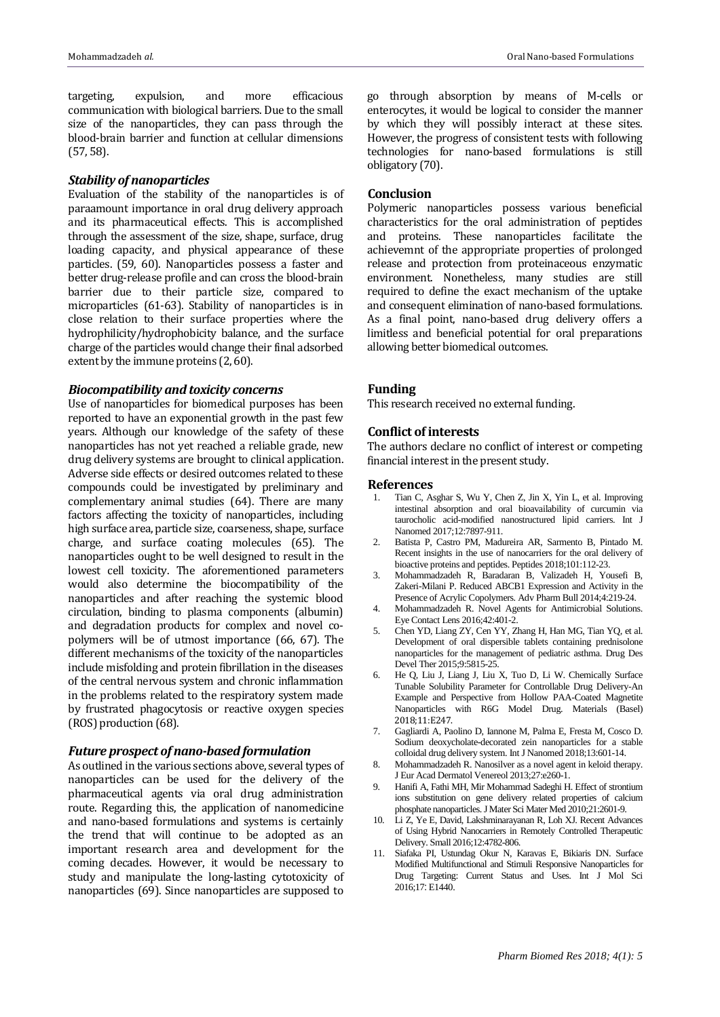targeting, expulsion, and more efficacious communication with biological barriers. Due to the small size of the nanoparticles, they can pass through the blood-brain barrier and function at cellular dimensions (57, 58).

## *Stability of nanoparticles*

Evaluation of the stability of the nanoparticles is of paraamount importance in oral drug delivery approach and its pharmaceutical effects. This is accomplished through the assessment of the size, shape, surface, drug loading capacity, and physical appearance of these particles. (59, 60). Nanoparticles possess a faster and better drug-release profile and can cross the blood-brain barrier due to their particle size, compared to microparticles (61-63). Stability of nanoparticles is in close relation to their surface properties where the hydrophilicity/hydrophobicity balance, and the surface charge of the particles would change their final adsorbed extent by the immune proteins (2, 60).

## *Biocompatibility and toxicity concerns*

Use of nanoparticles for biomedical purposes has been reported to have an exponential growth in the past few years. Although our knowledge of the safety of these nanoparticles has not yet reached a reliable grade, new drug delivery systems are brought to clinical application. Adverse side effects or desired outcomes related to these compounds could be investigated by preliminary and complementary animal studies (64). There are many factors affecting the toxicity of nanoparticles, including high surface area, particle size, coarseness, shape, surface charge, and surface coating molecules (65). The nanoparticles ought to be well designed to result in the lowest cell toxicity. The aforementioned parameters would also determine the biocompatibility of the nanoparticles and after reaching the systemic blood circulation, binding to plasma components (albumin) and degradation products for complex and novel copolymers will be of utmost importance (66, 67). The different mechanisms of the toxicity of the nanoparticles include misfolding and protein fibrillation in the diseases of the central nervous system and chronic inflammation in the problems related to the respiratory system made by frustrated phagocytosis or reactive oxygen species (ROS) production (68).

## *Future prospect of nano-based formulation*

As outlined in the various sections above, several types of nanoparticles can be used for the delivery of the pharmaceutical agents via oral drug administration route. Regarding this, the application of nanomedicine and nano-based formulations and systems is certainly the trend that will continue to be adopted as an important research area and development for the coming decades. However, it would be necessary to study and manipulate the long-lasting cytotoxicity of nanoparticles (69). Since nanoparticles are supposed to

go through absorption by means of M-cells or enterocytes, it would be logical to consider the manner by which they will possibly interact at these sites. However, the progress of consistent tests with following technologies for nano-based formulations is still obligatory (70).

# **Conclusion**

Polymeric nanoparticles possess various beneficial characteristics for the oral administration of peptides and proteins. These nanoparticles facilitate the achievemnt of the appropriate properties of prolonged release and protection from proteinaceous enzymatic environment. Nonetheless, many studies are still required to define the exact mechanism of the uptake and consequent elimination of nano-based formulations. As a final point, nano-based drug delivery offers a limitless and beneficial potential for oral preparations allowing better biomedical outcomes.

#### **Funding**

This research received no external funding.

## **Conflict of interests**

The authors declare no conflict of interest or competing financial interest in the present study.

#### **References**

- 1. Tian C, Asghar S, Wu Y, Chen Z, Jin X, Yin L, et al. Improving intestinal absorption and oral bioavailability of curcumin via taurocholic acid-modified nanostructured lipid carriers. Int J Nanomed 2017;12:7897-911.
- 2. Batista P, Castro PM, Madureira AR, Sarmento B, Pintado M. Recent insights in the use of nanocarriers for the oral delivery of bioactive proteins and peptides. Peptides 2018;101:112-23.
- 3. Mohammadzadeh R, Baradaran B, Valizadeh H, Yousefi B, Zakeri-Milani P. Reduced ABCB1 Expression and Activity in the Presence of Acrylic Copolymers. Adv Pharm Bull 2014;4:219-24.
- 4. Mohammadzadeh R. Novel Agents for Antimicrobial Solutions. Eye Contact Lens 2016;42:401-2.
- 5. Chen YD, Liang ZY, Cen YY, Zhang H, Han MG, Tian YQ, et al. Development of oral dispersible tablets containing prednisolone nanoparticles for the management of pediatric asthma. Drug Des Devel Ther 2015;9:5815-25.
- 6. He Q, Liu J, Liang J, Liu X, Tuo D, Li W. Chemically Surface Tunable Solubility Parameter for Controllable Drug Delivery-An Example and Perspective from Hollow PAA-Coated Magnetite Nanoparticles with R6G Model Drug. Materials (Basel) 2018;11:E247.
- 7. Gagliardi A, Paolino D, Iannone M, Palma E, Fresta M, Cosco D. Sodium deoxycholate-decorated zein nanoparticles for a stable colloidal drug delivery system. Int J Nanomed 2018;13:601-14.
- 8. Mohammadzadeh R. Nanosilver as a novel agent in keloid therapy. J Eur Acad Dermatol Venereol 2013;27:e260-1.
- 9. Hanifi A, Fathi MH, Mir Mohammad Sadeghi H. Effect of strontium ions substitution on gene delivery related properties of calcium phosphate nanoparticles. J Mater Sci Mater Med 2010;21:2601-9.
- 10. Li Z, Ye E, David, Lakshminarayanan R, Loh XJ. Recent Advances of Using Hybrid Nanocarriers in Remotely Controlled Therapeutic Delivery. Small 2016;12:4782-806.
- 11. Siafaka PI, Ustundag Okur N, Karavas E, Bikiaris DN. Surface Modified Multifunctional and Stimuli Responsive Nanoparticles for Drug Targeting: Current Status and Uses. Int J Mol Sci 2016;17: E1440.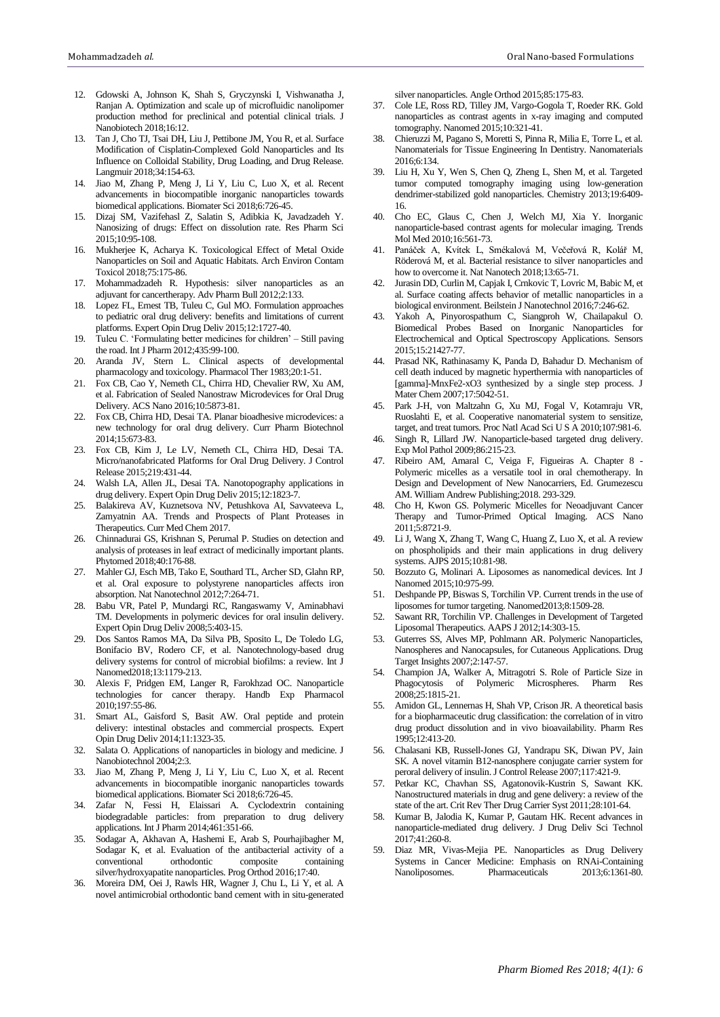- 12. Gdowski A, Johnson K, Shah S, Gryczynski I, Vishwanatha J, Ranjan A. Optimization and scale up of microfluidic nanolipomer production method for preclinical and potential clinical trials. J Nanobiotech 2018;16:12.
- 13. Tan J, Cho TJ, Tsai DH, Liu J, Pettibone JM, You R, et al. Surface Modification of Cisplatin-Complexed Gold Nanoparticles and Its Influence on Colloidal Stability, Drug Loading, and Drug Release. Langmuir 2018;34:154-63.
- 14. Jiao M, Zhang P, Meng J, Li Y, Liu C, Luo X, et al. Recent advancements in biocompatible inorganic nanoparticles towards biomedical applications. Biomater Sci 2018;6:726-45.
- 15. Dizaj SM, Vazifehasl Z, Salatin S, Adibkia K, Javadzadeh Y. Nanosizing of drugs: Effect on dissolution rate. Res Pharm Sci 2015;10:95-108.
- 16. Mukherjee K, Acharya K. Toxicological Effect of Metal Oxide Nanoparticles on Soil and Aquatic Habitats. Arch Environ Contam Toxicol 2018;75:175-86.
- 17. Mohammadzadeh R. Hypothesis: silver nanoparticles as an adjuvant for cancertherapy. Adv Pharm Bull 2012;2:133.
- 18. Lopez FL, Ernest TB, Tuleu C, Gul MO. Formulation approaches to pediatric oral drug delivery: benefits and limitations of current platforms. Expert Opin Drug Deliv 2015;12:1727-40.
- 19. Tuleu C. 'Formulating better medicines for children' Still paving the road. Int J Pharm 2012;435:99-100.
- 20. Aranda JV, Stern L. Clinical aspects of developmental pharmacology and toxicology. Pharmacol Ther 1983;20:1-51.
- 21. Fox CB, Cao Y, Nemeth CL, Chirra HD, Chevalier RW, Xu AM, et al. Fabrication of Sealed Nanostraw Microdevices for Oral Drug Delivery. ACS Nano 2016;10:5873-81.
- 22. Fox CB, Chirra HD, Desai TA. Planar bioadhesive microdevices: a new technology for oral drug delivery. Curr Pharm Biotechnol 2014;15:673-83.
- 23. Fox CB, Kim J, Le LV, Nemeth CL, Chirra HD, Desai TA. Micro/nanofabricated Platforms for Oral Drug Delivery. J Control Release 2015;219:431-44.
- 24. Walsh LA, Allen JL, Desai TA. Nanotopography applications in drug delivery. Expert Opin Drug Deliv 2015;12:1823-7.
- 25. Balakireva AV, Kuznetsova NV, Petushkova AI, Savvateeva L, Zamyatnin AA. Trends and Prospects of Plant Proteases in Therapeutics. Curr Med Chem 2017.
- 26. Chinnadurai GS, Krishnan S, Perumal P. Studies on detection and analysis of proteases in leaf extract of medicinally important plants. Phytomed 2018;40:176-88.
- 27. Mahler GJ, Esch MB, Tako E, Southard TL, Archer SD, Glahn RP, et al. Oral exposure to polystyrene nanoparticles affects iron absorption. Nat Nanotechnol 2012;7:264-71.
- 28. Babu VR, Patel P, Mundargi RC, Rangaswamy V, Aminabhavi TM. Developments in polymeric devices for oral insulin delivery. Expert Opin Drug Deliv 2008;5:403-15.
- 29. Dos Santos Ramos MA, Da Silva PB, Sposito L, De Toledo LG, Bonifacio BV, Rodero CF, et al. Nanotechnology-based drug delivery systems for control of microbial biofilms: a review. Int J Nanomed2018;13:1179-213.
- 30. Alexis F, Pridgen EM, Langer R, Farokhzad OC. Nanoparticle technologies for cancer therapy. Handb Exp Pharmacol 2010;197:55-86.
- 31. Smart AL, Gaisford S, Basit AW. Oral peptide and protein delivery: intestinal obstacles and commercial prospects. Expert Opin Drug Deliv 2014;11:1323-35.
- 32. Salata O. Applications of nanoparticles in biology and medicine. J Nanobiotechnol 2004;2:3.
- 33. Jiao M, Zhang P, Meng J, Li Y, Liu C, Luo X, et al. Recent advancements in biocompatible inorganic nanoparticles towards biomedical applications. Biomater Sci 2018;6:726-45.
- Zafar N, Fessi H, Elaissari A. Cyclodextrin containing biodegradable particles: from preparation to drug delivery applications. Int J Pharm 2014;461:351-66.
- 35. Sodagar A, Akhavan A, Hashemi E, Arab S, Pourhajibagher M, Sodagar K, et al. Evaluation of the antibacterial activity of a conventional orthodontic composite containing silver/hydroxyapatite nanoparticles. Prog Orthod 2016;17:40.
- 36. Moreira DM, Oei J, Rawls HR, Wagner J, Chu L, Li Y, et al. A novel antimicrobial orthodontic band cement with in situ-generated

silver nanoparticles. Angle Orthod 2015;85:175-83.

- 37. Cole LE, Ross RD, Tilley JM, Vargo-Gogola T, Roeder RK. Gold nanoparticles as contrast agents in x-ray imaging and computed tomography. Nanomed 2015;10:321-41.
- 38. Chieruzzi M, Pagano S, Moretti S, Pinna R, Milia E, Torre L, et al. Nanomaterials for Tissue Engineering In Dentistry. Nanomaterials 2016;6:134.
- 39. Liu H, Xu Y, Wen S, Chen Q, Zheng L, Shen M, et al. Targeted tumor computed tomography imaging using low-generation dendrimer-stabilized gold nanoparticles. Chemistry 2013;19:6409- 16.
- 40. Cho EC, Glaus C, Chen J, Welch MJ, Xia Y. Inorganic nanoparticle-based contrast agents for molecular imaging. Trends Mol Med 2010;16:561-73.
- 41. Panáček A, Kvítek L, Smékalová M, Večeřová R, Kolář M, Röderová M, et al. Bacterial resistance to silver nanoparticles and how to overcome it. Nat Nanotech 2018;13:65-71.
- 42. Jurasin DD, Curlin M, Capjak I, Crnkovic T, Lovric M, Babic M, et al. Surface coating affects behavior of metallic nanoparticles in a biological environment. Beilstein J Nanotechnol 2016;7:246-62.
- 43. Yakoh A, Pinyorospathum C, Siangproh W, Chailapakul O. Biomedical Probes Based on Inorganic Nanoparticles for Electrochemical and Optical Spectroscopy Applications. Sensors 2015;15:21427-77.
- 44. Prasad NK, Rathinasamy K, Panda D, Bahadur D. Mechanism of cell death induced by magnetic hyperthermia with nanoparticles of [gamma]-MnxFe2-xO3 synthesized by a single step process. J Mater Chem 2007;17:5042-51.
- 45. Park J-H, von Maltzahn G, Xu MJ, Fogal V, Kotamraju VR, Ruoslahti E, et al. Cooperative nanomaterial system to sensitize, target, and treat tumors. Proc Natl Acad Sci U S A 2010;107:981-6.
- 46. Singh R, Lillard JW. Nanoparticle-based targeted drug delivery. Exp Mol Pathol 2009;86:215-23.
- 47. Ribeiro AM, Amaral C, Veiga F, Figueiras A. Chapter 8 Polymeric micelles as a versatile tool in oral chemotherapy. In Design and Development of New Nanocarriers, Ed. Grumezescu AM. William Andrew Publishing;2018. 293-329.
- 48. Cho H, Kwon GS. Polymeric Micelles for Neoadjuvant Cancer Therapy and Tumor-Primed Optical Imaging. ACS Nano 2011;5:8721-9.
- 49. Li J, Wang X, Zhang T, Wang C, Huang Z, Luo X, et al. A review on phospholipids and their main applications in drug delivery systems. AJPS 2015;10:81-98.
- 50. Bozzuto G, Molinari A. Liposomes as nanomedical devices. Int J Nanomed 2015;10:975-99.
- 51. Deshpande PP, Biswas S, Torchilin VP. Current trends in the use of liposomes for tumor targeting. Nanomed2013;8:1509-28.
- 52. Sawant RR, Torchilin VP. Challenges in Development of Targeted Liposomal Therapeutics. AAPS J 2012;14:303-15.
- 53. Guterres SS, Alves MP, Pohlmann AR. Polymeric Nanoparticles, Nanospheres and Nanocapsules, for Cutaneous Applications. Drug Target Insights 2007;2:147-57.
- 54. Champion JA, Walker A, Mitragotri S. Role of Particle Size in Phagocytosis of Polymeric Microspheres. Pharm Res 2008;25:1815-21.
- 55. Amidon GL, Lennernas H, Shah VP, Crison JR. A theoretical basis for a biopharmaceutic drug classification: the correlation of in vitro drug product dissolution and in vivo bioavailability. Pharm Res 1995;12:413-20.
- 56. Chalasani KB, Russell-Jones GJ, Yandrapu SK, Diwan PV, Jain SK. A novel vitamin B12-nanosphere conjugate carrier system for peroral delivery of insulin. J Control Release 2007;117:421-9.
- 57. Petkar KC, Chavhan SS, Agatonovik-Kustrin S, Sawant KK. Nanostructured materials in drug and gene delivery: a review of the state of the art. Crit Rev Ther Drug Carrier Syst 2011;28:101-64.
- 58. Kumar B, Jalodia K, Kumar P, Gautam HK. Recent advances in nanoparticle-mediated drug delivery. J Drug Deliv Sci Technol 2017;41:260-8.
- Diaz MR, Vivas-Mejia PE. Nanoparticles as Drug Delivery Systems in Cancer Medicine: Emphasis on RNAi-Containing Nanoliposomes. Pharmaceuticals 2013;6:1361-80.